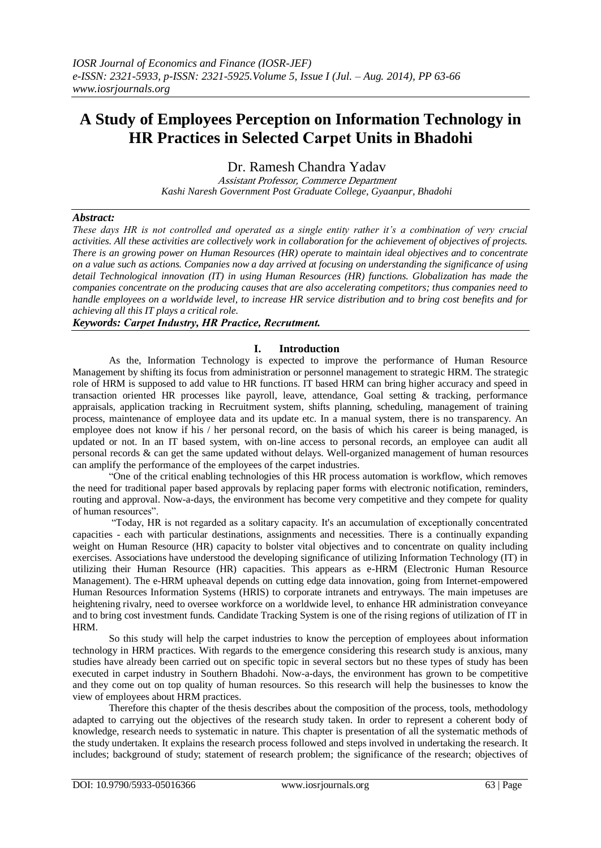# **A Study of Employees Perception on Information Technology in HR Practices in Selected Carpet Units in Bhadohi**

Dr. Ramesh Chandra Yadav

Assistant Professor, Commerce Department *Kashi Naresh Government Post Graduate College, Gyaanpur, Bhadohi*

## *Abstract:*

*These days HR is not controlled and operated as a single entity rather it's a combination of very crucial activities. All these activities are collectively work in collaboration for the achievement of objectives of projects. There is an growing power on Human Resources (HR) operate to maintain ideal objectives and to concentrate on a value such as actions. Companies now a day arrived at focusing on understanding the significance of using detail Technological innovation (IT) in using Human Resources (HR) functions. Globalization has made the companies concentrate on the producing causes that are also accelerating competitors; thus companies need to handle employees on a worldwide level, to increase HR service distribution and to bring cost benefits and for achieving all this IT plays a critical role.* 

## *Keywords: Carpet Industry, HR Practice, Recrutment.*

# **I. Introduction**

As the, Information Technology is expected to improve the performance of Human Resource Management by shifting its focus from administration or personnel management to strategic HRM. The strategic role of HRM is supposed to add value to HR functions. IT based HRM can bring higher accuracy and speed in transaction oriented HR processes like payroll, leave, attendance, Goal setting & tracking, performance appraisals, application tracking in Recruitment system, shifts planning, scheduling, management of training process, maintenance of employee data and its update etc. In a manual system, there is no transparency. An employee does not know if his / her personal record, on the basis of which his career is being managed, is updated or not. In an IT based system, with on-line access to personal records, an employee can audit all personal records & can get the same updated without delays. Well-organized management of human resources can amplify the performance of the employees of the carpet industries.

"One of the critical enabling technologies of this HR process automation is workflow, which removes the need for traditional paper based approvals by replacing paper forms with electronic notification, reminders, routing and approval. Now-a-days, the environment has become very competitive and they compete for quality of human resources".

"Today, HR is not regarded as a solitary capacity. It's an accumulation of exceptionally concentrated capacities - each with particular destinations, assignments and necessities. There is a continually expanding weight on Human Resource (HR) capacity to bolster vital objectives and to concentrate on quality including exercises. Associations have understood the developing significance of utilizing Information Technology (IT) in utilizing their Human Resource (HR) capacities. This appears as e-HRM (Electronic Human Resource Management). The e-HRM upheaval depends on cutting edge data innovation, going from Internet-empowered Human Resources Information Systems (HRIS) to corporate intranets and entryways. The main impetuses are heightening rivalry, need to oversee workforce on a worldwide level, to enhance HR administration conveyance and to bring cost investment funds. Candidate Tracking System is one of the rising regions of utilization of IT in HRM.

So this study will help the carpet industries to know the perception of employees about information technology in HRM practices. With regards to the emergence considering this research study is anxious, many studies have already been carried out on specific topic in several sectors but no these types of study has been executed in carpet industry in Southern Bhadohi. Now-a-days, the environment has grown to be competitive and they come out on top quality of human resources. So this research will help the businesses to know the view of employees about HRM practices.

Therefore this chapter of the thesis describes about the composition of the process, tools, methodology adapted to carrying out the objectives of the research study taken. In order to represent a coherent body of knowledge, research needs to systematic in nature. This chapter is presentation of all the systematic methods of the study undertaken. It explains the research process followed and steps involved in undertaking the research. It includes; background of study; statement of research problem; the significance of the research; objectives of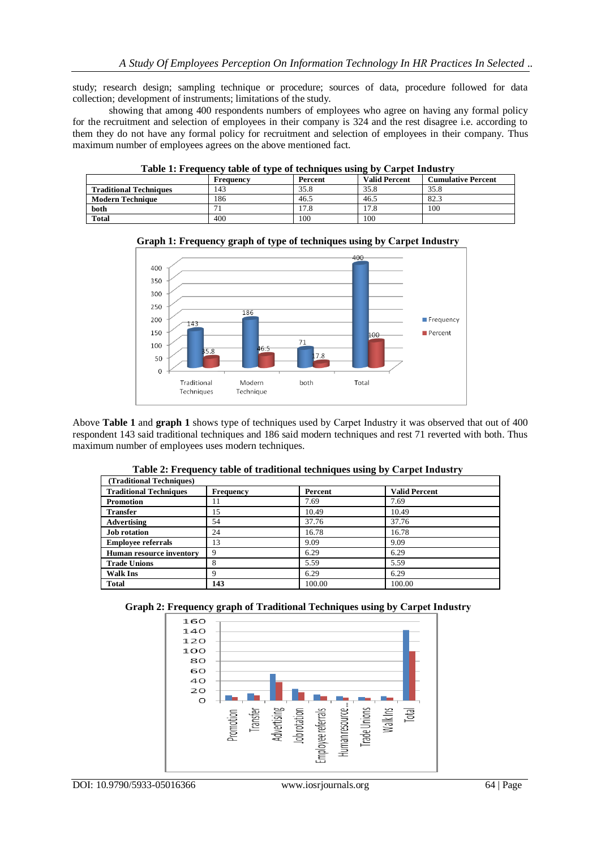study; research design; sampling technique or procedure; sources of data, procedure followed for data collection; development of instruments; limitations of the study.

showing that among 400 respondents numbers of employees who agree on having any formal policy for the recruitment and selection of employees in their company is 324 and the rest disagree i.e. according to them they do not have any formal policy for recruitment and selection of employees in their company. Thus maximum number of employees agrees on the above mentioned fact.

|                               | Table 1: I requester more of type of techniques using by Carpet mumstr |         |                      |                           |  |
|-------------------------------|------------------------------------------------------------------------|---------|----------------------|---------------------------|--|
|                               | Frequency                                                              | Percent | <b>Valid Percent</b> | <b>Cumulative Percent</b> |  |
| <b>Traditional Techniques</b> | 143                                                                    | 35.8    | 35.8                 | 35.8                      |  |
| <b>Modern Technique</b>       | 186                                                                    | 46.5    | 46.5                 | 82.3                      |  |
| both                          |                                                                        | 17.8    | 17.8                 | 100                       |  |
| <b>Total</b>                  | 400                                                                    | 100     | 100                  |                           |  |

**Table 1: Frequency table of type of techniques using by Carpet Industry**



**Graph 1: Frequency graph of type of techniques using by Carpet Industry**

Above **Table 1** and **graph 1** shows type of techniques used by Carpet Industry it was observed that out of 400 respondent 143 said traditional techniques and 186 said modern techniques and rest 71 reverted with both. Thus maximum number of employees uses modern techniques.

| (Traditional Techniques)      |                  |         |                      |  |
|-------------------------------|------------------|---------|----------------------|--|
| <b>Traditional Techniques</b> | <b>Frequency</b> | Percent | <b>Valid Percent</b> |  |
| <b>Promotion</b>              | 11               | 7.69    | 7.69                 |  |
| <b>Transfer</b>               | 15               | 10.49   | 10.49                |  |
| <b>Advertising</b>            | 54               | 37.76   | 37.76                |  |
| <b>Job rotation</b>           | 24               | 16.78   | 16.78                |  |
| <b>Employee referrals</b>     | 13               | 9.09    | 9.09                 |  |
| Human resource inventory      | $\Omega$         | 6.29    | 6.29                 |  |
| <b>Trade Unions</b>           | 8                | 5.59    | 5.59                 |  |
| <b>Walk Ins</b>               | Q                | 6.29    | 6.29                 |  |
| <b>Total</b>                  | 143              | 100.00  | 100.00               |  |

|  |  |  | Table 2: Frequency table of traditional techniques using by Carpet Industry |
|--|--|--|-----------------------------------------------------------------------------|
|  |  |  |                                                                             |



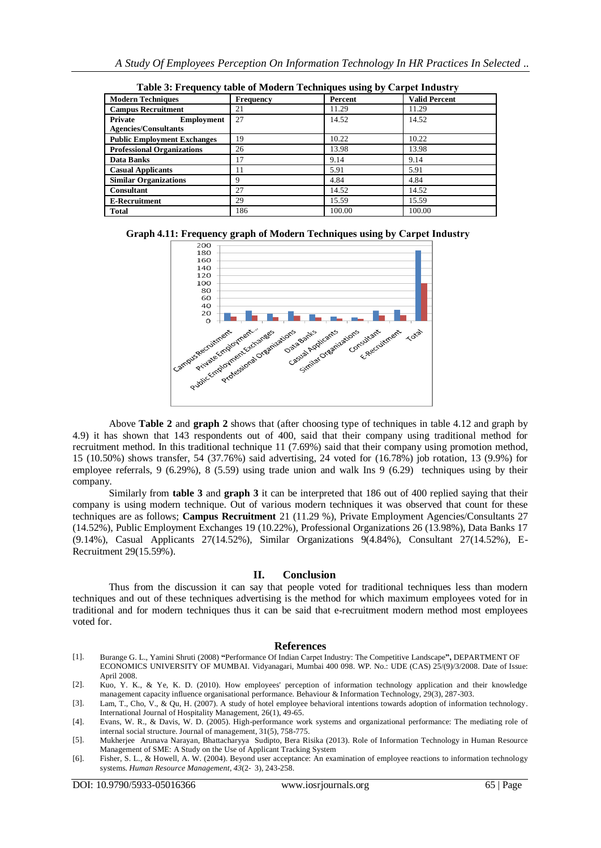| <b>Modern Techniques</b>           | <b>Frequency</b> | Percent | <b>Valid Percent</b> |  |
|------------------------------------|------------------|---------|----------------------|--|
| <b>Campus Recruitment</b>          | 21               | 11.29   | 11.29                |  |
| Private<br>Employment              | 27               | 14.52   | 14.52                |  |
| <b>Agencies/Consultants</b>        |                  |         |                      |  |
| <b>Public Employment Exchanges</b> | 19               | 10.22   | 10.22                |  |
| <b>Professional Organizations</b>  | 26               | 13.98   | 13.98                |  |
| Data Banks                         | 17               | 9.14    | 9.14                 |  |
| <b>Casual Applicants</b>           | 11               | 5.91    | 5.91                 |  |
| <b>Similar Organizations</b>       | 9                | 4.84    | 4.84                 |  |
| <b>Consultant</b>                  | 27               | 14.52   | 14.52                |  |
| <b>E-Recruitment</b>               | 29               | 15.59   | 15.59                |  |
| Total                              | 186              | 100.00  | 100.00               |  |

**Table 3: Frequency table of Modern Techniques using by Carpet Industry**





Above **Table 2** and **graph 2** shows that (after choosing type of techniques in table 4.12 and graph by 4.9) it has shown that 143 respondents out of 400, said that their company using traditional method for recruitment method. In this traditional technique 11 (7.69%) said that their company using promotion method, 15 (10.50%) shows transfer, 54 (37.76%) said advertising, 24 voted for (16.78%) job rotation, 13 (9.9%) for employee referrals, 9 (6.29%), 8 (5.59) using trade union and walk Ins 9 (6.29) techniques using by their company.

Similarly from **table 3** and **graph 3** it can be interpreted that 186 out of 400 replied saying that their company is using modern technique. Out of various modern techniques it was observed that count for these techniques are as follows; **Campus Recruitment** 21 (11.29 %), Private Employment Agencies/Consultants 27 (14.52%), Public Employment Exchanges 19 (10.22%), Professional Organizations 26 (13.98%), Data Banks 17 (9.14%), Casual Applicants 27(14.52%), Similar Organizations 9(4.84%), Consultant 27(14.52%), E-Recruitment 29(15.59%).

#### **II. Conclusion**

Thus from the discussion it can say that people voted for traditional techniques less than modern techniques and out of these techniques advertising is the method for which maximum employees voted for in traditional and for modern techniques thus it can be said that e-recruitment modern method most employees voted for.

### **References**

[1]. Burange G. L., Yamini Shruti (2008) **"**Performance Of Indian Carpet Industry: The Competitive Landscape**",** DEPARTMENT OF ECONOMICS UNIVERSITY OF MUMBAI. Vidyanagari, Mumbai 400 098. WP. No.: UDE (CAS) 25/(9)/3/2008. Date of Issue: April 2008.

[2]. Kuo, Y. K., & Ye, K. D. (2010). How employees' perception of information technology application and their knowledge management capacity influence organisational performance. Behaviour & Information Technology, 29(3), 287-303.

[4]. Evans, W. R., & Davis, W. D. (2005). High-performance work systems and organizational performance: The mediating role of internal social structure. Journal of management, 31(5), 758-775.

[5]. Mukherjee Arunava Narayan, Bhattacharyya Sudipto, Bera Risika (2013). Role of Information Technology in Human Resource Management of SME: A Study on the Use of Applicant Tracking System

[6]. Fisher, S. L., & Howell, A. W. (2004). Beyond user acceptance: An examination of employee reactions to information technology systems. *Human Resource Management*, *43*(2‐ 3), 243-258.

<sup>[3].</sup> Lam, T., Cho, V., & Qu, H. (2007). A study of hotel employee behavioral intentions towards adoption of information technology. International Journal of Hospitality Management, 26(1), 49-65.